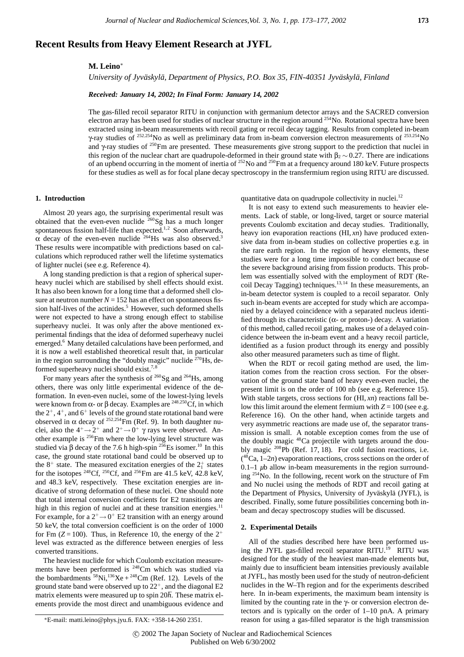# **Recent Results from Heavy Element Research at JYFL**

# **M. Leino**<sup>∗</sup>

*University of Jyväskylä, Department of Physics, P.O. Box 35, FIN-40351 Jyväskylä, Finland* 

## *Received: January 14, 2002; In Final Form: January 14, 2002*

The gas-filled recoil separator RITU in conjunction with germanium detector arrays and the SACRED conversion electron array has been used for studies of nuclear structure in the region around  $^{254}$ No. Rotational spectra have been extracted using in-beam measurements with recoil gating or recoil decay tagging. Results from completed in-beam γ-ray studies of <sup>252</sup>*,*254No as well as preliminary data from in-beam conversion electron measurements of <sup>253</sup>*,*254No and  $\gamma$ -ray studies of <sup>250</sup>Fm are presented. These measurements give strong support to the prediction that nuclei in this region of the nuclear chart are quadrupole-deformed in their ground state with  $\beta_2 \sim 0.27$ . There are indications of an upbend occurring in the moment of inertia of <sup>252</sup>No and <sup>250</sup>Fm at a frequency around 180 keV. Future prospects for these studies as well as for focal plane decay spectroscopy in the transfermium region using RITU are discussed.

### **1. Introduction**

Almost 20 years ago, the surprising experimental result was obtained that the even-even nuclide 260Sg has a much longer spontaneous fission half-life than expected. $1,2$  Soon afterwards,  $\alpha$  decay of the even-even nuclide <sup>264</sup>Hs was also observed.<sup>3</sup> These results were incompatible with predictions based on calculations which reproduced rather well the lifetime systematics of lighter nuclei (see e.g. Reference 4).

A long standing prediction is that a region of spherical superheavy nuclei which are stabilised by shell effects should exist. It has also been known for a long time that a deformed shell closure at neutron number  $N = 152$  has an effect on spontaneous fission half-lives of the actinides.<sup>5</sup> However, such deformed shells were not expected to have a strong enough effect to stabilise superheavy nuclei. It was only after the above mentioned experimental findings that the idea of deformed superheavy nuclei emerged.<sup>6</sup> Many detailed calculations have been performed, and it is now a well established theoretical result that, in particular in the region surrounding the "doubly magic" nuclide  $270$  Hs, deformed superheavy nuclei should exist.<sup>7,8</sup>

For many years after the synthesis of  $^{260}$ Sg and  $^{264}$ Hs, among others, there was only little experimental evidence of the deformation. In even-even nuclei, some of the lowest-lying levels were known from α- or β decay. Examples are <sup>248,250</sup>Cf, in which the  $2^+$ ,  $4^+$ , and  $6^+$  levels of the ground state rotational band were observed in  $\alpha$  decay of <sup>252,254</sup>Fm (Ref. 9). In both daughter nuclei, also the  $4^+ \rightarrow 2^+$  and  $2^+ \rightarrow 0^+$   $\gamma$  rays were observed. Another example is 256Fm where the low-lying level structure was studied via β decay of the 7.6 h high-spin <sup>256</sup>Es isomer.<sup>10</sup> In this case, the ground state rotational band could be observed up to the  $8^+$  state. The measured excitation energies of the  $2^+_1$  states for the isotopes <sup>248</sup>Cf, <sup>250</sup>Cf, and <sup>256</sup>Fm are  $41.5$  keV,  $42.8$  keV, and 48.3 keV, respectively. These excitation energies are indicative of strong deformation of these nuclei. One should note that total internal conversion coefficients for E2 transitions are high in this region of nuclei and at these transition energies. $11$ For example, for a  $2^+$   $\rightarrow$  0<sup>+</sup> E2 transition with an energy around 50 keV, the total conversion coefficient is on the order of 1000 for Fm  $(Z = 100)$ . Thus, in Reference 10, the energy of the  $2^+$ level was extracted as the difference between energies of less converted transitions.

The heaviest nuclide for which Coulomb excitation measurements have been performed is <sup>248</sup>Cm which was studied via the bombardments  ${}^{58}$ Ni,<sup>136</sup>Xe +  ${}^{248}$ Cm (Ref. 12). Levels of the ground state band were observed up to  $22^+$ , and the diagonal E2 matrix elements were measured up to spin 20 $\hbar$ . These matrix elements provide the most direct and unambiguous evidence and quantitative data on quadrupole collectivity in nuclei.<sup>12</sup>

It is not easy to extend such measurements to heavier elements. Lack of stable, or long-lived, target or source material prevents Coulomb excitation and decay studies. Traditionally, heavy ion evaporation reactions (HI, *xn*) have produced extensive data from in-beam studies on collective properties e.g. in the rare earth region. In the region of heavy elements, these studies were for a long time impossible to conduct because of the severe background arising from fission products. This problem was essentially solved with the employment of RDT (Recoil Decay Tagging) techniques.<sup>13,14</sup> In these measurements, an in-beam detector system is coupled to a recoil separator. Only such in-beam events are accepted for study which are accompanied by a delayed coincidence with a separated nucleus identified through its characteristic ( $\alpha$ - or proton-) decay. A variation of this method, called recoil gating, makes use of a delayed coincidence between the in-beam event and a heavy recoil particle, identified as a fusion product through its energy and possibly also other measured parameters such as time of flight.

When the RDT or recoil gating method are used, the limitation comes from the reaction cross section. For the observation of the ground state band of heavy even-even nuclei, the present limit is on the order of 100 nb (see e.g. Reference 15). With stable targets, cross sections for (HI, *xn*) reactions fall below this limit around the element fermium with  $Z = 100$  (see e.g. Reference 16). On the other hand, when actinide targets and very asymmetric reactions are made use of, the separator transmission is small. A notable exception comes from the use of the doubly magic 48Ca projectile with targets around the doubly magic 208Pb (Ref. 17, 18). For cold fusion reactions, i.e. ( 48Ca, 1–2*n*) evaporation reactions, cross sections on the order of  $0.1-1$   $\mu$ b allow in-beam measurements in the region surrounding 254No. In the following, recent work on the structure of Fm and No nuclei using the methods of RDT and recoil gating at the Department of Physics, University of Jyväskylä (JYFL), is described. Finally, some future possibilities concerning both inbeam and decay spectroscopy studies will be discussed.

### **2. Experimental Details**

All of the studies described here have been performed using the JYFL gas-filled recoil separator RITU.<sup>19</sup> RITU was designed for the study of the heaviest man-made elements but, mainly due to insufficient beam intensities previously available at JYFL, has mostly been used for the study of neutron-deficient nuclides in the W–Th region and for the experiments described here. In in-beam experiments, the maximum beam intensity is limited by the counting rate in the  $\gamma$ - or conversion electron detectors and is typically on the order of 1–10 pnA. A primary reason for using a gas-filled separator is the high transmission

<sup>∗</sup>E-mail: matti.leino@phys.jyu.fi. FAX: +358-14-260 2351.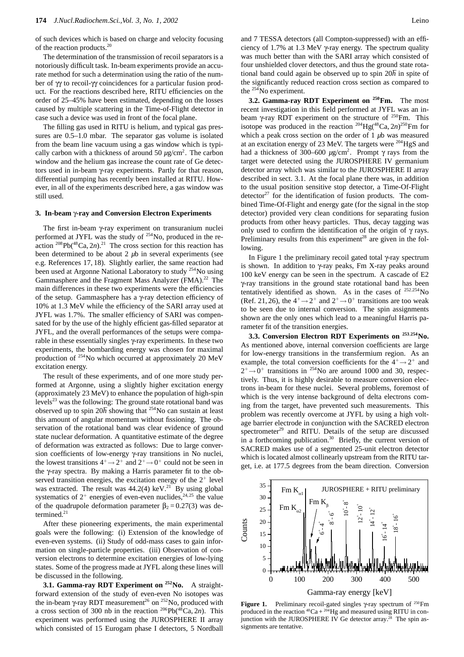of such devices which is based on charge and velocity focusing of the reaction products.20

The determination of the transmission of recoil separators is a notoriously difficult task. In-beam experiments provide an accurate method for such a determination using the ratio of the number of γγ to recoil-γγ coincidences for a particular fusion product. For the reactions described here, RITU efficiencies on the order of 25–45% have been estimated, depending on the losses caused by multiple scattering in the Time-of-Flight detector in case such a device was used in front of the focal plane.

The filling gas used in RITU is helium, and typical gas pressures are 0.5–1.0 mbar. The separator gas volume is isolated from the beam line vacuum using a gas window which is typically carbon with a thickness of around  $50 \mu g/cm^2$ . The carbon window and the helium gas increase the count rate of Ge detectors used in in-beam γ-ray experiments. Partly for that reason, differential pumping has recently been installed at RITU. However, in all of the experiments described here, a gas window was still used.

#### **3. In-beam** γ**-ray and Conversion Electron Experiments**

The first in-beam γ-ray experiment on transuranium nuclei performed at JYFL was the study of 254No, produced in the reaction  $^{208}Pb(^{48}Ca, 2n).^{21}$  The cross section for this reaction has been determined to be about 2 *u*b in several experiments (see e.g. References 17, 18). Slightly earlier, the same reaction had been used at Argonne National Laboratory to study 254No using Gammasphere and the Fragment Mass Analyzer (FMA).<sup>22</sup> The main differences in these two experiments were the efficiencies of the setup. Gammasphere has a γ-ray detection efficiency of 10% at 1.3 MeV while the efficiency of the SARI array used at JYFL was 1.7%. The smaller efficiency of SARI was compensated for by the use of the highly efficient gas-filled separator at JYFL, and the overall performances of the setups were comparable in these essentially singles γ-ray experiments. In these two experiments, the bombarding energy was chosen for maximal production of 254No which occurred at approximately 20 MeV excitation energy.

The result of these experiments, and of one more study performed at Argonne, using a slightly higher excitation energy (approximately 23 MeV) to enhance the population of high-spin levels<sup>23</sup> was the following: The ground state rotational band was observed up to spin  $20<sup>h</sup>$  showing that <sup>254</sup>No can sustain at least this amount of angular momentum without fissioning. The observation of the rotational band was clear evidence of ground state nuclear deformation. A quantitative estimate of the degree of deformation was extracted as follows: Due to large conversion coefficients of low-energy γ-ray transitions in No nuclei, the lowest transitions  $4^+ \rightarrow 2^+$  and  $2^+ \rightarrow 0^+$  could not be seen in the γ-ray spectra. By making a Harris parameter fit to the observed transition energies, the excitation energy of the  $2^+$  level was extracted. The result was  $44.2(4)$  keV.<sup>21</sup> By using global systematics of  $2^+$  energies of even-even nuclides,<sup>24,25</sup> the value of the quadrupole deformation parameter  $\beta_2 = 0.27(3)$  was determined.<sup>21</sup>

After these pioneering experiments, the main experimental goals were the following: (i) Extension of the knowledge of even-even systems. (ii) Study of odd-mass cases to gain information on single-particle properties. (iii) Observation of conversion electrons to determine excitation energies of low-lying states. Some of the progress made at JYFL along these lines will be discussed in the following.

**3.1. Gamma-ray RDT Experiment on <sup>252</sup>No.** A straightforward extension of the study of even-even No isotopes was the in-beam γ-ray RDT measurement<sup>26</sup> on <sup>252</sup>No, produced with a cross section of 300 nb in the reaction  $^{206}Pb(^{48}Ca, 2n)$ . This experiment was performed using the JUROSPHERE II array which consisted of 15 Eurogam phase I detectors, 5 Nordball and 7 TESSA detectors (all Compton-suppressed) with an efficiency of 1.7% at 1.3 MeV γ-ray energy. The spectrum quality was much better than with the SARI array which consisted of four unshielded clover detectors, and thus the ground state rotational band could again be observed up to spin 20h in spite of the significantly reduced reaction cross section as compared to the  $25\overline{4}$ No experiment.

**3.2. Gamma-ray RDT Experiment on 250Fm.** The most recent investigation in this field performed at JYFL was an inbeam  $\gamma$ -ray RDT experiment on the structure of <sup>250</sup>Fm. This isotope was produced in the reaction 204Hg(48Ca, 2*n*) 250Fm for which a peak cross section on the order of 1 *µ*b was measured at an excitation energy of 23 MeV. The targets were <sup>204</sup>HgS and had a thickness of 300–600 *µ*g/cm2 . Prompt γ rays from the target were detected using the JUROSPHERE IV germanium detector array which was similar to the JUROSPHERE II array described in sect. 3.1. At the focal plane there was, in addition to the usual position sensitive stop detector, a Time-Of-Flight detector $27$  for the identification of fusion products. The combined Time-Of-Flight and energy gate (for the signal in the stop detector) provided very clean conditions for separating fusion products from other heavy particles. Thus, decay tagging was only used to confirm the identification of the origin of  $\gamma$  rays. Preliminary results from this experiment<sup>28</sup> are given in the following.

In Figure 1 the preliminary recoil gated total γ-ray spectrum is shown. In addition to  $\gamma$ -ray peaks, Fm X-ray peaks around 100 keV energy can be seen in the spectrum. A cascade of E2 γ-ray transitions in the ground state rotational band has been tentatively identified as shown. As in the cases of <sup>252</sup>*,*254No (Ref. 21, 26), the  $4^+ \rightarrow 2^+$  and  $2^+ \rightarrow 0^+$  transitions are too weak to be seen due to internal conversion. The spin assignments shown are the only ones which lead to a meaningful Harris parameter fit of the transition energies.

**3.3. Conversion Electron RDT Experiments on <sup>253</sup>***,***254No.** As mentioned above, internal conversion coefficients are large for low-energy transitions in the transfermium region. As an example, the total conversion coefficients for the  $4^+ \rightarrow 2^+$  and  $2^+ \rightarrow 0^+$  transitions in <sup>254</sup>No are around 1000 and 30, respectively. Thus, it is highly desirable to measure conversion electrons in-beam for these nuclei. Several problems, foremost of which is the very intense background of delta electrons coming from the target, have prevented such measurements. This problem was recently overcome at JYFL by using a high voltage barrier electrode in conjunction with the SACRED electron spectrometer<sup>29</sup> and RITU. Details of the setup are discussed in a forthcoming publication.<sup>30</sup> Briefly, the current version of SACRED makes use of a segmented 25-unit electron detector which is located almost collinearly upstream from the RITU target, i.e. at 177.5 degrees from the beam direction. Conversion



Figure 1. Preliminary recoil-gated singles γ-ray spectrum of <sup>250</sup>Fm produced in the reaction  ${}^{48}Ca + {}^{204}He$  and measured using RITU in conjunction with the JUROSPHERE IV Ge detector array.<sup>28</sup> The spin assignments are tentative.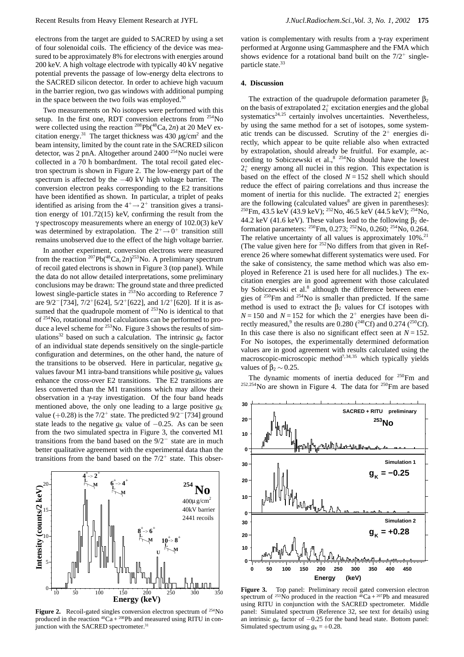Two measurements on No isotopes were performed with this setup. In the first one, RDT conversion electrons from  $254$ No were collected using the reaction <sup>208</sup>Pb(<sup>48</sup>Ca, 2*n*) at 20 MeV excitation energy.<sup>31</sup> The target thickness was  $430 \mu g/cm^2$  and the beam intensity, limited by the count rate in the SACRED silicon detector, was 2 pnA. Altogether around 2400 254No nuclei were collected in a 70 h bombardment. The total recoil gated electron spectrum is shown in Figure 2. The low-energy part of the spectrum is affected by the −40 kV high voltage barrier. The conversion electron peaks corresponding to the E2 transitions have been identified as shown. In particular, a triplet of peaks identified as arising from the  $4^+ \rightarrow 2^+$  transition gives a transition energy of 101.72(15) keV, confirming the result from the γ spectroscopy measurements where an energy of 102.0(3) keV was determined by extrapolation. The  $2^+ \rightarrow 0^+$  transition still remains unobserved due to the effect of the high voltage barrier.

In another experiment, conversion electrons were measured from the reaction  $^{207}Pb(^{48}Ca, 2n)^{253}No$ . A preliminary spectrum of recoil gated electrons is shown in Figure 3 (top panel). While the data do not allow detailed interpretations, some preliminary conclusions may be drawn: The ground state and three predicted lowest single-particle states in <sup>253</sup>No according to Reference 7 are 9/2*−*[734], 7/2<sup>+</sup>[624], 5/2<sup>+</sup>[622], and 1/2<sup>+</sup>[620]. If it is assumed that the quadrupole moment of  $253$ No is identical to that of 254No, rotational model calculations can be performed to produce a level scheme for  $253$ No. Figure 3 shows the results of simulations<sup>32</sup> based on such a calculation. The intrinsic  $g_K$  factor of an individual state depends sensitively on the single-particle configuration and determines, on the other hand, the nature of the transitions to be observed. Here in particular, negative  $g_K$ values favour M1 intra-band transitions while positive  $g_K$  values enhance the cross-over E2 transitions. The E2 transitions are less converted than the M1 transitions which may allow their observation in a γ-ray investigation. Of the four band heads mentioned above, the only one leading to a large positive  $g<sub>K</sub>$ value (+0.28) is the 7/2<sup>+</sup> state. The predicted 9/2*−*[734] ground state leads to the negative  $g_K$  value of  $-0.25$ . As can be seen from the two simulated spectra in Figure 3, the converted M1 transitions from the band based on the 9/2*<sup>−</sup>* state are in much better qualitative agreement with the experimental data than the transitions from the band based on the  $7/2^+$  state. This obser-



**Figure 2.** Recoil-gated singles conversion electron spectrum of <sup>254</sup>No produced in the reaction  ${}^{48}Ca + {}^{208}Pb$  and measured using RITU in conjunction with the SACRED spectrometer.<sup>31</sup>

vation is complementary with results from a γ-ray experiment performed at Argonne using Gammasphere and the FMA which shows evidence for a rotational band built on the  $7/2^+$  singleparticle state.<sup>33</sup>

## **4. Discussion**

The extraction of the quadrupole deformation parameter  $\beta_2$ on the basis of extrapolated  $2^+_1$  excitation energies and the global systematics<sup>24,25</sup> certainly involves uncertainties. Nevertheless, by using the same method for a set of isotopes, some systematic trends can be discussed. Scrutiny of the  $2^+$  energies directly, which appear to be quite reliable also when extracted by extrapolation, should already be fruitful. For example, according to Sobiczewski et al.,  $8^{2.554}$ No should have the lowest 2+ <sup>1</sup> energy among all nuclei in this region. This expectation is based on the effect of the closed  $N = 152$  shell which should reduce the effect of pairing correlations and thus increase the moment of inertia for this nuclide. The extracted  $2^+_1$  energies are the following (calculated values<sup>8</sup> are given in parentheses): <sup>250</sup>Fm, 43.5 keV (43.9 keV); <sup>252</sup>No, 46.5 keV (44.5 keV); <sup>254</sup>No, 44.2 keV (41.6 keV). These values lead to the following  $\beta_2$  deformation parameters: <sup>250</sup>Fm, 0.273; <sup>252</sup>No, 0.260; <sup>254</sup>No, 0.264. The relative uncertainty of all values is approximately  $10\%$ <sup>21</sup> (The value given here for  $252$  No differs from that given in Reference 26 where somewhat different systematics were used. For the sake of consistency, the same method which was also employed in Reference 21 is used here for all nuclides.) The excitation energies are in good agreement with those calculated by Sobiczewski et al.<sup>8</sup> although the difference between energies of <sup>250</sup>Fm and <sup>254</sup>No is smaller than predicted. If the same method is used to extract the  $\beta_2$  values for Cf isotopes with  $N = 150$  and  $N = 152$  for which the  $2^+$  energies have been directly measured,<sup>9</sup> the results are 0.280 ( $^{248}$ Cf) and 0.274 ( $^{250}$ Cf). In this case there is also no significant effect seen at  $N = 152$ . For No isotopes, the experimentally determined deformation values are in good agreement with results calculated using the macroscopic-microscopic method<sup>7,34,35</sup> which typically yields values of  $\beta_2 \sim 0.25$ .

The dynamic moments of inertia deduced for  $250$ Fm and <sup>252,254</sup>No are shown in Figure 4. The data for <sup>250</sup>Fm are based



**Figure 3.** Top panel: Preliminary recoil gated conversion electron spectrum of <sup>253</sup>No produced in the reaction  $48$ Ca + <sup>207</sup>Pb and measured using RITU in conjunction with the SACRED spectrometer. Middle panel: Simulated spectrum (Reference 32, see text for details) using an intrinsic  $g_K$  factor of  $-0.25$  for the band head state. Bottom panel: Simulated spectrum using  $g_K = +0.28$ .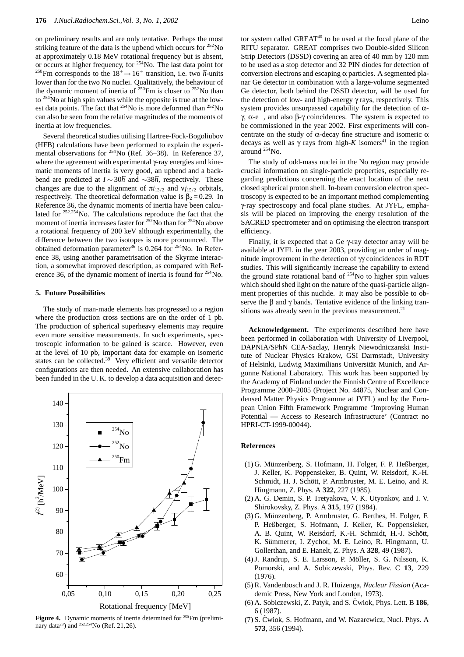on preliminary results and are only tentative. Perhaps the most striking feature of the data is the upbend which occurs for  $^{252}$ No at approximately 0.18 MeV rotational frequency but is absent, or occurs at higher frequency, for  $254$ No. The last data point for <sup>250</sup>Fm corresponds to the  $18^+ \rightarrow 16^+$  transition, i.e. two *h*-units lower than for the two No nuclei. Qualitatively, the behaviour of the dynamic moment of inertia of  $250$ Fm is closer to  $252$ No than to  $254$ No at high spin values while the opposite is true at the lowest data points. The fact that  $^{254}$ No is more deformed than  $^{252}$ No can also be seen from the relative magnitudes of the moments of inertia at low frequencies.

Several theoretical studies utilising Hartree-Fock-Bogoliubov (HFB) calculations have been performed to explain the experimental observations for <sup>254</sup>No (Ref. 36–38). In Reference 37, where the agreement with experimental γ-ray energies and kinematic moments of inertia is very good, an upbend and a backbend are predicted at *I* ∼ 30 $\hbar$  and ∼38 $\hbar$ , respectively. These changes are due to the alignment of  $\pi i_{13/2}$  and  $\nu i_{15/2}$  orbitals, respectively. The theoretical deformation value is  $\beta_2 = 0.29$ . In Reference 36, the dynamic moments of inertia have been calculated for <sup>252</sup>*,*254No. The calculations reproduce the fact that the moment of inertia increases faster for  $25\textsuperscript{2}{\times}$  No than for  $254$  No above a rotational frequency of 200 keV although experimentally, the difference between the two isotopes is more pronounced. The obtained deformation parameter<sup>36</sup> is 0.264 for <sup>254</sup>No. In Reference 38, using another parametrisation of the Skyrme interaction, a somewhat improved description, as compared with Reference 36, of the dynamic moment of inertia is found for  $254$ No.

## **5. Future Possibilities**

The study of man-made elements has progressed to a region where the production cross sections are on the order of 1 pb. The production of spherical superheavy elements may require even more sensitive measurements. In such experiments, spectroscopic information to be gained is scarce. However, even at the level of 10 pb, important data for example on isomeric states can be collected.<sup>39</sup> Very efficient and versatile detector configurations are then needed. An extensive collaboration has been funded in the U. K. to develop a data acquisition and detec-



Figure 4. Dynamic moments of inertia determined for <sup>250</sup>Fm (preliminary data28) and <sup>252</sup>*,*254No (Ref. 21,26).

tor system called GREAT<sup>40</sup> to be used at the focal plane of the RITU separator. GREAT comprises two Double-sided Silicon Strip Detectors (DSSD) covering an area of 40 mm by 120 mm to be used as a stop detector and 32 PIN diodes for detection of conversion electrons and escaping  $\alpha$  particles. A segmented planar Ge detector in combination with a large-volume segmented Ge detector, both behind the DSSD detector, will be used for the detection of low- and high-energy γ rays, respectively. This system provides unsurpassed capability for the detection of  $\alpha$ γ, α-e*−*, and also β-γ coincidences. The system is expected to be commissioned in the year 2002. First experiments will concentrate on the study of  $\alpha$ -decay fine structure and isomeric  $\alpha$ decays as well as  $\gamma$  rays from high-*K* isomers<sup>41</sup> in the region around 254No.

The study of odd-mass nuclei in the No region may provide crucial information on single-particle properties, especially regarding predictions concerning the exact location of the next closed spherical proton shell. In-beam conversion electron spectroscopy is expected to be an important method complementing γ-ray spectroscopy and focal plane studies. At JYFL, emphasis will be placed on improving the energy resolution of the SACRED spectrometer and on optimising the electron transport efficiency.

Finally, it is expected that a Ge γ-ray detector array will be available at JYFL in the year 2003, providing an order of magnitude improvement in the detection of  $\gamma$  coincidences in RDT studies. This will significantly increase the capability to extend the ground state rotational band of  $254$ No to higher spin values which should shed light on the nature of the quasi-particle alignment properties of this nuclide. It may also be possible to observe the  $\beta$  and  $\gamma$  bands. Tentative evidence of the linking transitions was already seen in the previous measurement.<sup>21</sup>

**Acknowledgement.** The experiments described here have been performed in collaboration with University of Liverpool, DAPNIA/SPhN CEA-Saclay, Henryk Niewodniczanski Institute of Nuclear Physics Krakow, GSI Darmstadt, University of Helsinki, Ludwig Maximilians Universität Munich, and Argonne National Laboratory. This work has been supported by the Academy of Finland under the Finnish Centre of Excellence Programme 2000–2005 (Project No. 44875, Nuclear and Condensed Matter Physics Programme at JYFL) and by the European Union Fifth Framework Programme 'Improving Human Potential — Access to Research Infrastructure' (Contract no HPRI-CT-1999-00044).

#### **References**

- (1) G. Münzenberg, S. Hofmann, H. Folger, F. P. Heßberger, J. Keller, K. Poppensieker, B. Quint, W. Reisdorf, K.-H. Schmidt, H. J. Schött, P. Armbruster, M. E. Leino, and R. Hingmann, Z. Phys. A **322**, 227 (1985).
- (2) A. G. Demin, S. P. Tretyakova, V. K. Utyonkov, and I. V. Shirokovsky, Z. Phys. A **315**, 197 (1984).
- (3) G. Münzenberg, P. Armbruster, G. Berthes, H. Folger, F. P. Heßberger, S. Hofmann, J. Keller, K. Poppensieker, A. B. Quint, W. Reisdorf, K.-H. Schmidt, H.-J. Schött, K. Sümmerer, I. Zychor, M. E. Leino, R. Hingmann, U. Gollerthan, and E. Hanelt, Z. Phys. A **328**, 49 (1987).
- (4) J. Randrup, S. E. Larsson, P. Möller, S. G. Nilsson, K. Pomorski, and A. Sobiczewski, Phys. Rev. C **13**, 229 (1976).
- (5) R. Vandenbosch and J. R. Huizenga, *Nuclear Fission* (Academic Press, New York and London, 1973).
- (6) A. Sobiczewski, Z. Patyk, and S. Cwiok, Phys. Lett. B ´ **186**, 6 (1987).
- (7) S. Cwiok, S. Hofmann, and W. Nazarewicz, Nucl. Phys. A ´ **573**, 356 (1994).